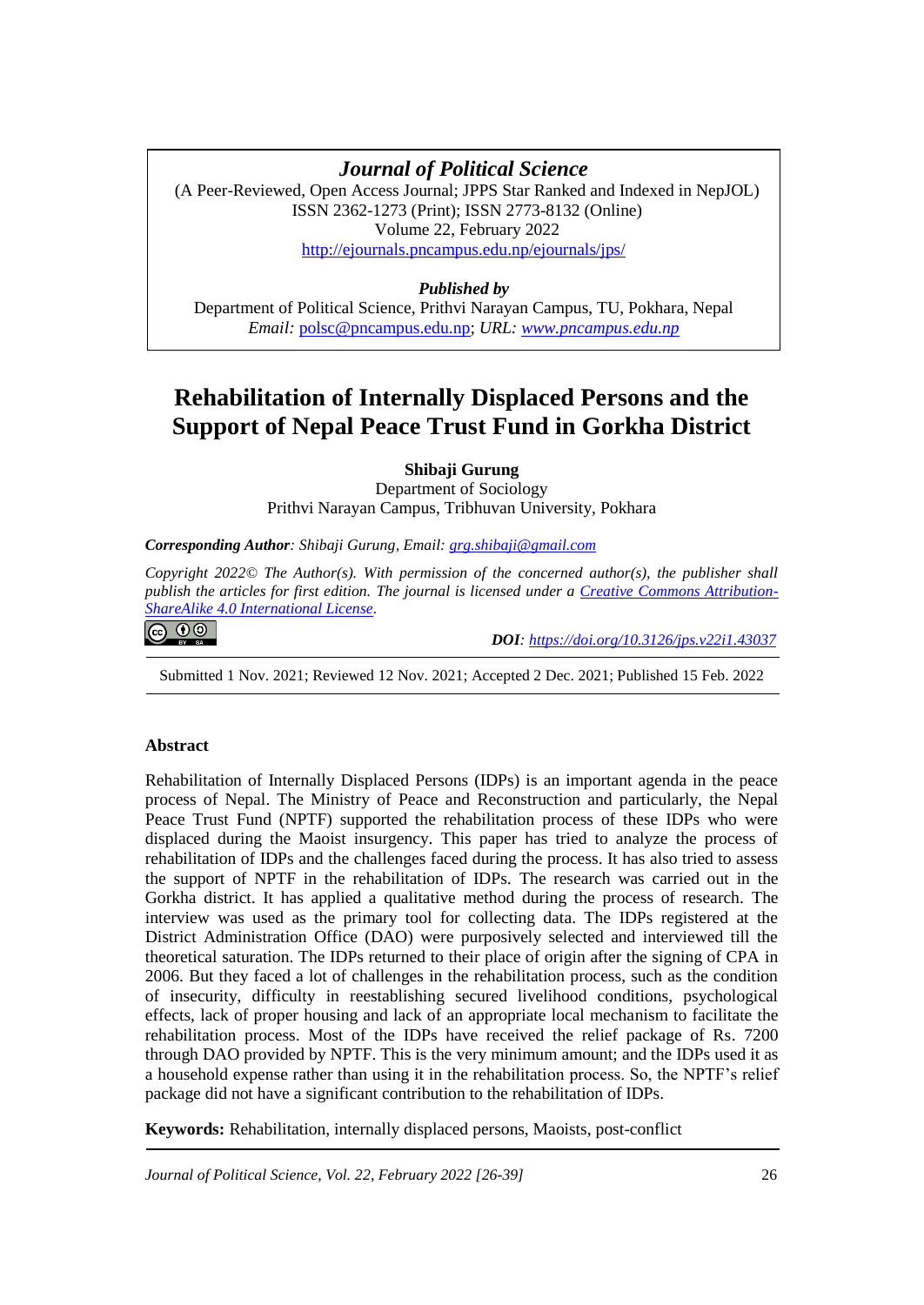# **Journal of Political Science**

(A Peer-Reviewed, Open Access Journal; JPPS Star Ranked and Indexed in NepJOL) ISSN 2362-1273 (Print); ISSN 2773-8132 (Online) Volume 22, February 2022 <http://ejournals.pncampus.edu.np/ejournals/jps/>

*Published by* 

Department of Political Science, Prithvi Narayan Campus, TU, Pokhara, Nepal *Email:* [polsc@pncampus.edu.np;](mailto:polsc@pncampus.edu.np) *URL: [www.pncampus.edu.np](http://www.pncampus.edu.np/)*

# **Rehabilitation of Internally Displaced Persons and the Support of Nepal Peace Trust Fund in Gorkha District**

**Shibaji Gurung**

Department of Sociology Prithvi Narayan Campus, Tribhuvan University, Pokhara

*Corresponding Author: Shibaji Gurung, Email[: grg.shibaji@gmail.com](mailto:grg.shibaji@gmail.com)*

*Copyright 2022© The Author(s). With permission of the concerned author(s), the publisher shall publish the articles for first edition. The journal is licensed under a [Creative Commons Attribution-](https://creativecommons.org/licenses/by-sa/4.0/)[ShareAlike 4.0 International License.](https://creativecommons.org/licenses/by-sa/4.0/)*

ெ 0

 *DOI: <https://doi.org/10.3126/jps.v22i1.43037>*

Submitted 1 Nov. 2021; Reviewed 12 Nov. 2021; Accepted 2 Dec. 2021; Published 15 Feb. 2022

## **Abstract**

Rehabilitation of Internally Displaced Persons (IDPs) is an important agenda in the peace process of Nepal. The Ministry of Peace and Reconstruction and particularly, the Nepal Peace Trust Fund (NPTF) supported the rehabilitation process of these IDPs who were displaced during the Maoist insurgency. This paper has tried to analyze the process of rehabilitation of IDPs and the challenges faced during the process. It has also tried to assess the support of NPTF in the rehabilitation of IDPs. The research was carried out in the Gorkha district. It has applied a qualitative method during the process of research. The interview was used as the primary tool for collecting data. The IDPs registered at the District Administration Office (DAO) were purposively selected and interviewed till the theoretical saturation. The IDPs returned to their place of origin after the signing of CPA in 2006. But they faced a lot of challenges in the rehabilitation process, such as the condition of insecurity, difficulty in reestablishing secured livelihood conditions, psychological effects, lack of proper housing and lack of an appropriate local mechanism to facilitate the rehabilitation process. Most of the IDPs have received the relief package of Rs. 7200 through DAO provided by NPTF. This is the very minimum amount; and the IDPs used it as a household expense rather than using it in the rehabilitation process. So, the NPTF's relief package did not have a significant contribution to the rehabilitation of IDPs.

**Keywords:** Rehabilitation, internally displaced persons, Maoists, post-conflict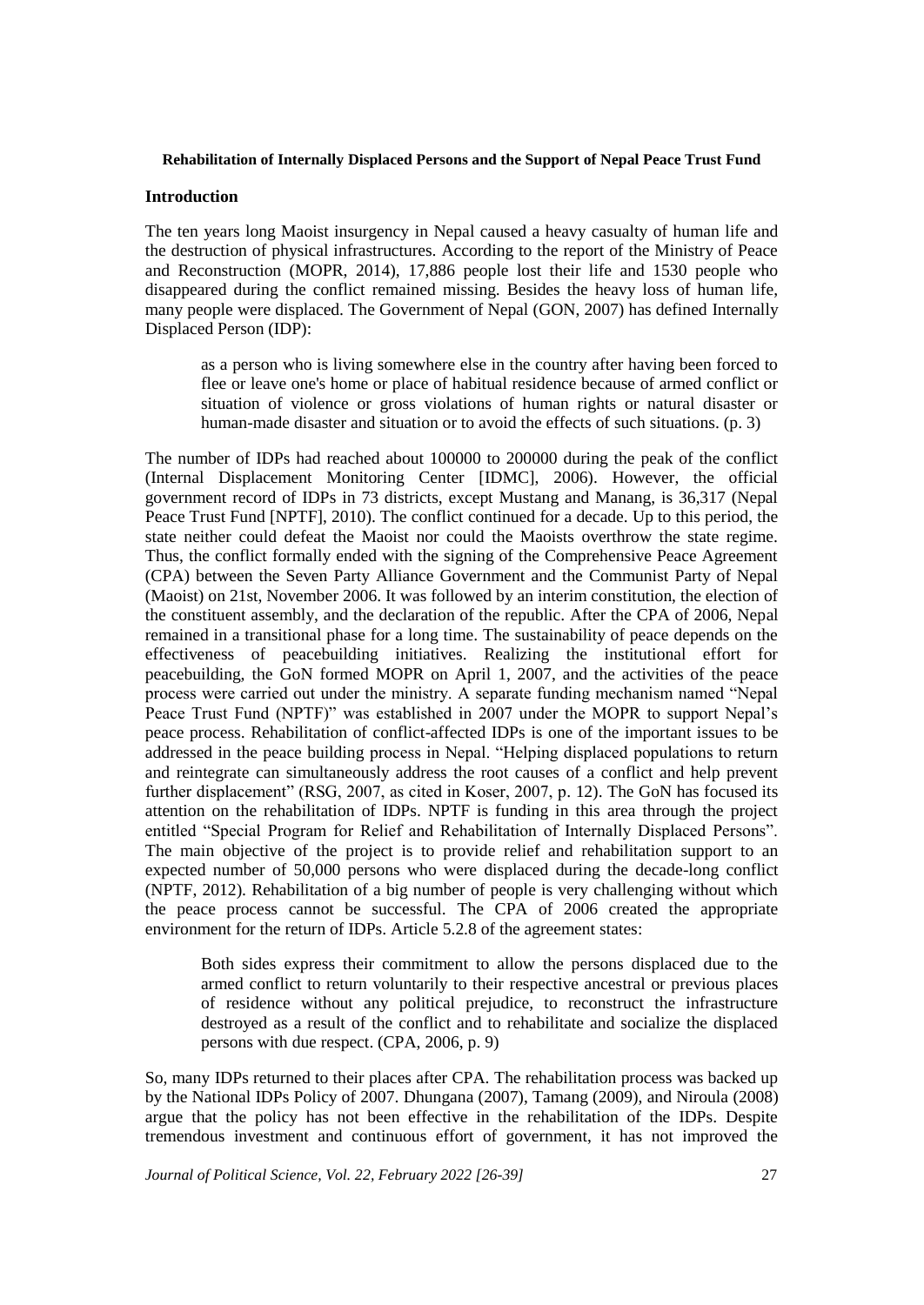## **Introduction**

The ten years long Maoist insurgency in Nepal caused a heavy casualty of human life and the destruction of physical infrastructures. According to the report of the Ministry of Peace and Reconstruction (MOPR, 2014), 17,886 people lost their life and 1530 people who disappeared during the conflict remained missing. Besides the heavy loss of human life, many people were displaced. The Government of Nepal (GON, 2007) has defined Internally Displaced Person (IDP):

as a person who is living somewhere else in the country after having been forced to flee or leave one's home or place of habitual residence because of armed conflict or situation of violence or gross violations of human rights or natural disaster or human-made disaster and situation or to avoid the effects of such situations. (p. 3)

The number of IDPs had reached about 100000 to 200000 during the peak of the conflict (Internal Displacement Monitoring Center [IDMC], 2006). However, the official government record of IDPs in 73 districts, except Mustang and Manang, is 36,317 (Nepal Peace Trust Fund [NPTF], 2010). The conflict continued for a decade. Up to this period, the state neither could defeat the Maoist nor could the Maoists overthrow the state regime. Thus, the conflict formally ended with the signing of the Comprehensive Peace Agreement (CPA) between the Seven Party Alliance Government and the Communist Party of Nepal (Maoist) on 21st, November 2006. It was followed by an interim constitution, the election of the constituent assembly, and the declaration of the republic. After the CPA of 2006, Nepal remained in a transitional phase for a long time. The sustainability of peace depends on the effectiveness of peacebuilding initiatives. Realizing the institutional effort for peacebuilding, the GoN formed MOPR on April 1, 2007, and the activities of the peace process were carried out under the ministry. A separate funding mechanism named "Nepal Peace Trust Fund (NPTF)" was established in 2007 under the MOPR to support Nepal's peace process. Rehabilitation of conflict-affected IDPs is one of the important issues to be addressed in the peace building process in Nepal. "Helping displaced populations to return and reintegrate can simultaneously address the root causes of a conflict and help prevent further displacement" (RSG, 2007, as cited in Koser, 2007, p. 12). The GoN has focused its attention on the rehabilitation of IDPs. NPTF is funding in this area through the project entitled "Special Program for Relief and Rehabilitation of Internally Displaced Persons". The main objective of the project is to provide relief and rehabilitation support to an expected number of 50,000 persons who were displaced during the decade-long conflict (NPTF, 2012). Rehabilitation of a big number of people is very challenging without which the peace process cannot be successful. The CPA of 2006 created the appropriate environment for the return of IDPs. Article 5.2.8 of the agreement states:

Both sides express their commitment to allow the persons displaced due to the armed conflict to return voluntarily to their respective ancestral or previous places of residence without any political prejudice, to reconstruct the infrastructure destroyed as a result of the conflict and to rehabilitate and socialize the displaced persons with due respect. (CPA, 2006, p. 9)

So, many IDPs returned to their places after CPA. The rehabilitation process was backed up by the National IDPs Policy of 2007. Dhungana (2007), Tamang (2009), and Niroula (2008) argue that the policy has not been effective in the rehabilitation of the IDPs. Despite tremendous investment and continuous effort of government, it has not improved the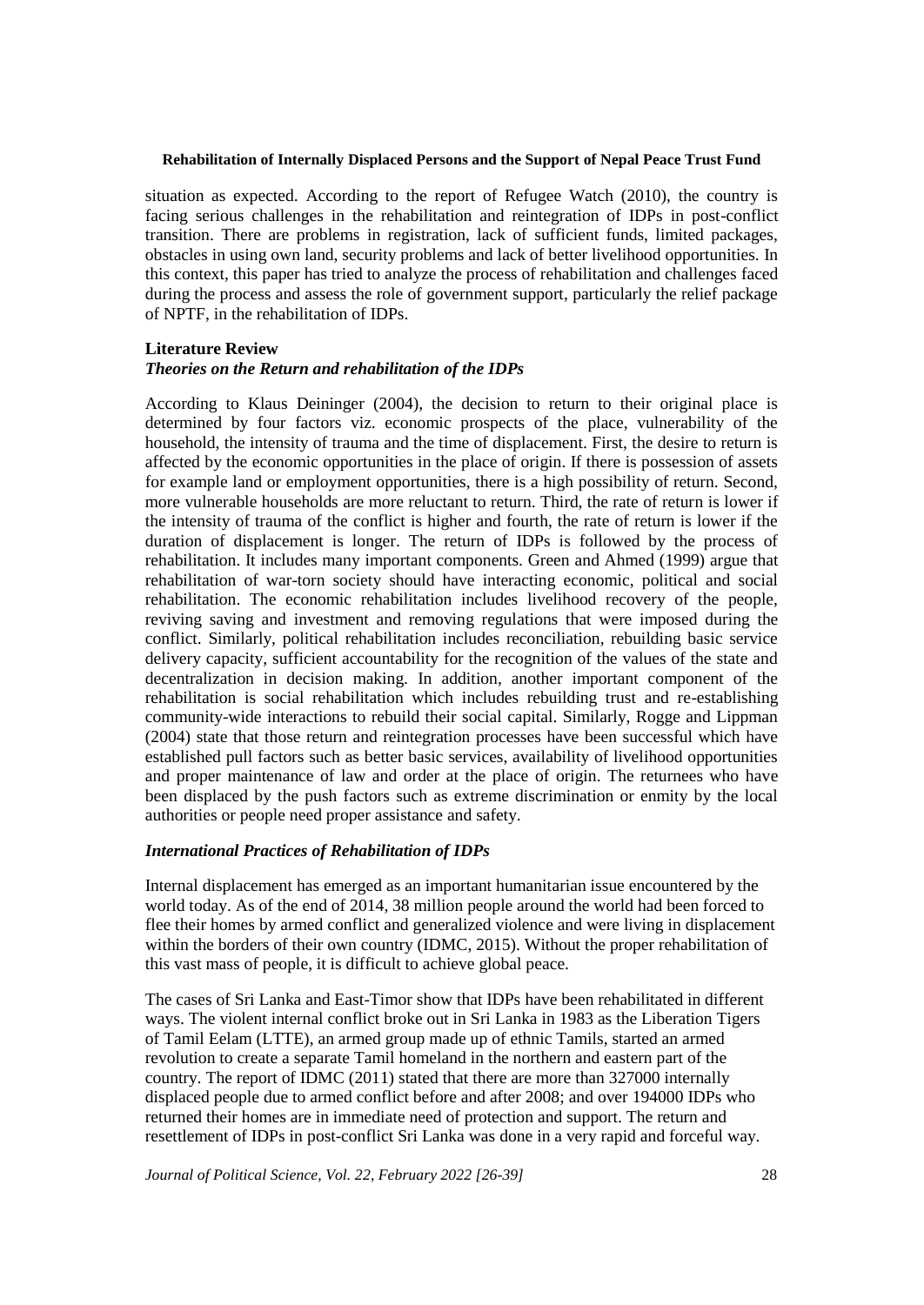situation as expected. According to the report of Refugee Watch (2010), the country is facing serious challenges in the rehabilitation and reintegration of IDPs in post-conflict transition. There are problems in registration, lack of sufficient funds, limited packages, obstacles in using own land, security problems and lack of better livelihood opportunities. In this context, this paper has tried to analyze the process of rehabilitation and challenges faced during the process and assess the role of government support, particularly the relief package of NPTF, in the rehabilitation of IDPs.

## **Literature Review**

## *Theories on the Return and rehabilitation of the IDPs*

According to Klaus Deininger (2004), the decision to return to their original place is determined by four factors viz. economic prospects of the place, vulnerability of the household, the intensity of trauma and the time of displacement. First, the desire to return is affected by the economic opportunities in the place of origin. If there is possession of assets for example land or employment opportunities, there is a high possibility of return. Second, more vulnerable households are more reluctant to return. Third, the rate of return is lower if the intensity of trauma of the conflict is higher and fourth, the rate of return is lower if the duration of displacement is longer. The return of IDPs is followed by the process of rehabilitation. It includes many important components. Green and Ahmed (1999) argue that rehabilitation of war-torn society should have interacting economic, political and social rehabilitation. The economic rehabilitation includes livelihood recovery of the people, reviving saving and investment and removing regulations that were imposed during the conflict. Similarly, political rehabilitation includes reconciliation, rebuilding basic service delivery capacity, sufficient accountability for the recognition of the values of the state and decentralization in decision making. In addition, another important component of the rehabilitation is social rehabilitation which includes rebuilding trust and re-establishing community-wide interactions to rebuild their social capital. Similarly, Rogge and Lippman (2004) state that those return and reintegration processes have been successful which have established pull factors such as better basic services, availability of livelihood opportunities and proper maintenance of law and order at the place of origin. The returnees who have been displaced by the push factors such as extreme discrimination or enmity by the local authorities or people need proper assistance and safety.

## *International Practices of Rehabilitation of IDPs*

Internal displacement has emerged as an important humanitarian issue encountered by the world today. As of the end of 2014, 38 million people around the world had been forced to flee their homes by armed conflict and generalized violence and were living in displacement within the borders of their own country (IDMC, 2015). Without the proper rehabilitation of this vast mass of people, it is difficult to achieve global peace.

The cases of Sri Lanka and East-Timor show that IDPs have been rehabilitated in different ways. The violent internal conflict broke out in Sri Lanka in 1983 as the Liberation Tigers of Tamil Eelam (LTTE), an armed group made up of ethnic Tamils, started an armed revolution to create a separate Tamil homeland in the northern and eastern part of the country. The report of IDMC (2011) stated that there are more than 327000 internally displaced people due to armed conflict before and after 2008; and over 194000 IDPs who returned their homes are in immediate need of protection and support. The return and resettlement of IDPs in post-conflict Sri Lanka was done in a very rapid and forceful way.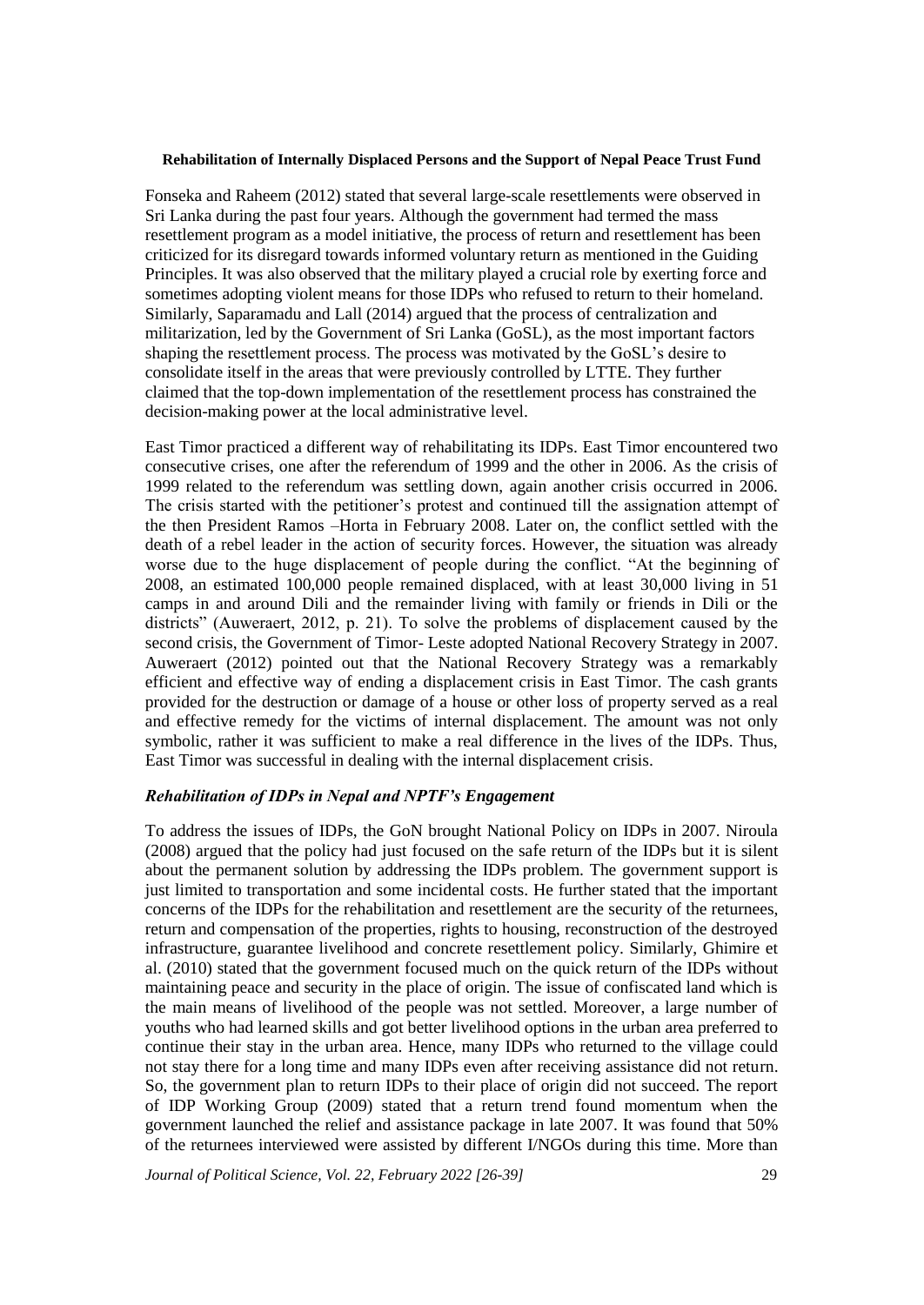Fonseka and Raheem (2012) stated that several large-scale resettlements were observed in Sri Lanka during the past four years. Although the government had termed the mass resettlement program as a model initiative, the process of return and resettlement has been criticized for its disregard towards informed voluntary return as mentioned in the Guiding Principles. It was also observed that the military played a crucial role by exerting force and sometimes adopting violent means for those IDPs who refused to return to their homeland. Similarly, Saparamadu and Lall (2014) argued that the process of centralization and militarization, led by the Government of Sri Lanka (GoSL), as the most important factors shaping the resettlement process. The process was motivated by the GoSL's desire to consolidate itself in the areas that were previously controlled by LTTE. They further claimed that the top-down implementation of the resettlement process has constrained the decision-making power at the local administrative level.

East Timor practiced a different way of rehabilitating its IDPs. East Timor encountered two consecutive crises, one after the referendum of 1999 and the other in 2006. As the crisis of 1999 related to the referendum was settling down, again another crisis occurred in 2006. The crisis started with the petitioner's protest and continued till the assignation attempt of the then President Ramos –Horta in February 2008. Later on, the conflict settled with the death of a rebel leader in the action of security forces. However, the situation was already worse due to the huge displacement of people during the conflict. "At the beginning of 2008, an estimated 100,000 people remained displaced, with at least 30,000 living in 51 camps in and around Dili and the remainder living with family or friends in Dili or the districts" (Auweraert, 2012, p. 21). To solve the problems of displacement caused by the second crisis, the Government of Timor- Leste adopted National Recovery Strategy in 2007. Auweraert (2012) pointed out that the National Recovery Strategy was a remarkably efficient and effective way of ending a displacement crisis in East Timor. The cash grants provided for the destruction or damage of a house or other loss of property served as a real and effective remedy for the victims of internal displacement. The amount was not only symbolic, rather it was sufficient to make a real difference in the lives of the IDPs. Thus, East Timor was successful in dealing with the internal displacement crisis.

## *Rehabilitation of IDPs in Nepal and NPTF's Engagement*

To address the issues of IDPs, the GoN brought National Policy on IDPs in 2007. Niroula (2008) argued that the policy had just focused on the safe return of the IDPs but it is silent about the permanent solution by addressing the IDPs problem. The government support is just limited to transportation and some incidental costs. He further stated that the important concerns of the IDPs for the rehabilitation and resettlement are the security of the returnees, return and compensation of the properties, rights to housing, reconstruction of the destroyed infrastructure, guarantee livelihood and concrete resettlement policy. Similarly, Ghimire et al. (2010) stated that the government focused much on the quick return of the IDPs without maintaining peace and security in the place of origin. The issue of confiscated land which is the main means of livelihood of the people was not settled. Moreover, a large number of youths who had learned skills and got better livelihood options in the urban area preferred to continue their stay in the urban area. Hence, many IDPs who returned to the village could not stay there for a long time and many IDPs even after receiving assistance did not return. So, the government plan to return IDPs to their place of origin did not succeed. The report of IDP Working Group (2009) stated that a return trend found momentum when the government launched the relief and assistance package in late 2007. It was found that 50% of the returnees interviewed were assisted by different I/NGOs during this time. More than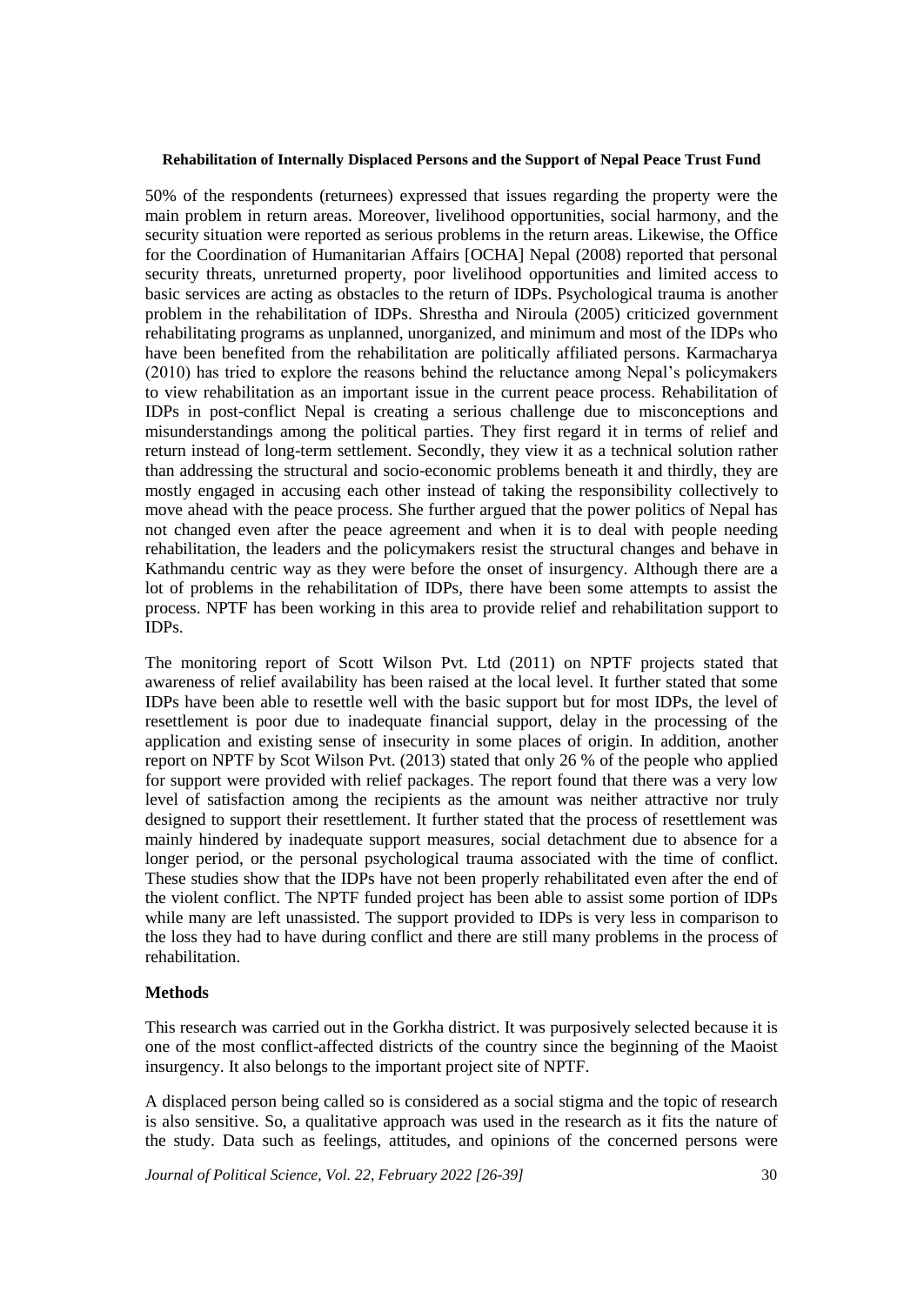50% of the respondents (returnees) expressed that issues regarding the property were the main problem in return areas. Moreover, livelihood opportunities, social harmony, and the security situation were reported as serious problems in the return areas. Likewise, the Office for the Coordination of Humanitarian Affairs [OCHA] Nepal (2008) reported that personal security threats, unreturned property, poor livelihood opportunities and limited access to basic services are acting as obstacles to the return of IDPs. Psychological trauma is another problem in the rehabilitation of IDPs. Shrestha and Niroula (2005) criticized government rehabilitating programs as unplanned, unorganized, and minimum and most of the IDPs who have been benefited from the rehabilitation are politically affiliated persons. Karmacharya (2010) has tried to explore the reasons behind the reluctance among Nepal's policymakers to view rehabilitation as an important issue in the current peace process. Rehabilitation of IDPs in post-conflict Nepal is creating a serious challenge due to misconceptions and misunderstandings among the political parties. They first regard it in terms of relief and return instead of long-term settlement. Secondly, they view it as a technical solution rather than addressing the structural and socio-economic problems beneath it and thirdly, they are mostly engaged in accusing each other instead of taking the responsibility collectively to move ahead with the peace process. She further argued that the power politics of Nepal has not changed even after the peace agreement and when it is to deal with people needing rehabilitation, the leaders and the policymakers resist the structural changes and behave in Kathmandu centric way as they were before the onset of insurgency. Although there are a lot of problems in the rehabilitation of IDPs, there have been some attempts to assist the process. NPTF has been working in this area to provide relief and rehabilitation support to IDPs.

The monitoring report of Scott Wilson Pvt. Ltd (2011) on NPTF projects stated that awareness of relief availability has been raised at the local level. It further stated that some IDPs have been able to resettle well with the basic support but for most IDPs, the level of resettlement is poor due to inadequate financial support, delay in the processing of the application and existing sense of insecurity in some places of origin. In addition, another report on NPTF by Scot Wilson Pvt. (2013) stated that only 26 % of the people who applied for support were provided with relief packages. The report found that there was a very low level of satisfaction among the recipients as the amount was neither attractive nor truly designed to support their resettlement. It further stated that the process of resettlement was mainly hindered by inadequate support measures, social detachment due to absence for a longer period, or the personal psychological trauma associated with the time of conflict. These studies show that the IDPs have not been properly rehabilitated even after the end of the violent conflict. The NPTF funded project has been able to assist some portion of IDPs while many are left unassisted. The support provided to IDPs is very less in comparison to the loss they had to have during conflict and there are still many problems in the process of rehabilitation.

## **Methods**

This research was carried out in the Gorkha district. It was purposively selected because it is one of the most conflict-affected districts of the country since the beginning of the Maoist insurgency. It also belongs to the important project site of NPTF.

A displaced person being called so is considered as a social stigma and the topic of research is also sensitive. So, a qualitative approach was used in the research as it fits the nature of the study. Data such as feelings, attitudes, and opinions of the concerned persons were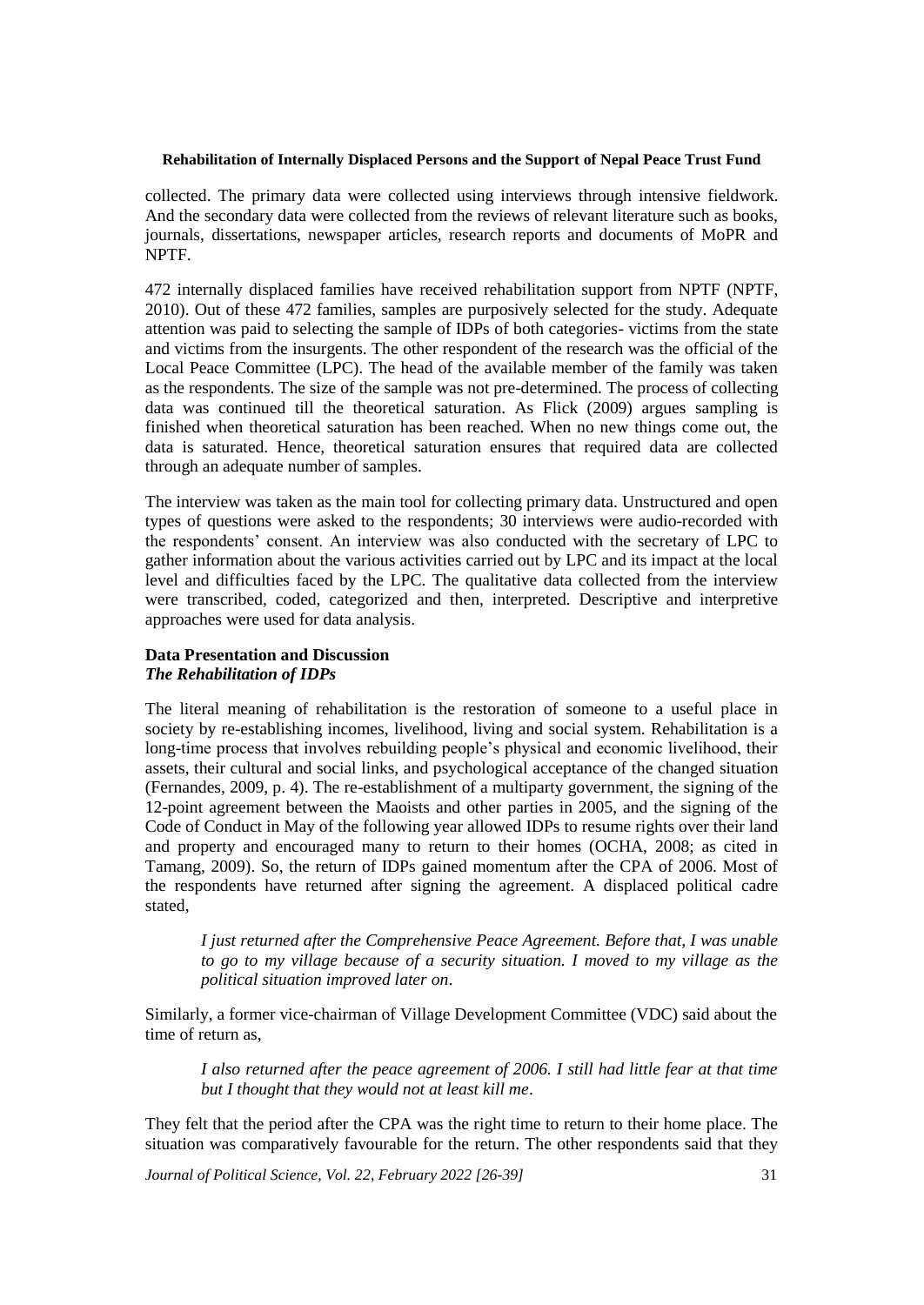collected. The primary data were collected using interviews through intensive fieldwork. And the secondary data were collected from the reviews of relevant literature such as books, journals, dissertations, newspaper articles, research reports and documents of MoPR and NPTF.

472 internally displaced families have received rehabilitation support from NPTF (NPTF, 2010). Out of these 472 families, samples are purposively selected for the study. Adequate attention was paid to selecting the sample of IDPs of both categories- victims from the state and victims from the insurgents. The other respondent of the research was the official of the Local Peace Committee (LPC). The head of the available member of the family was taken as the respondents. The size of the sample was not pre-determined. The process of collecting data was continued till the theoretical saturation. As Flick (2009) argues sampling is finished when theoretical saturation has been reached. When no new things come out, the data is saturated. Hence, theoretical saturation ensures that required data are collected through an adequate number of samples.

The interview was taken as the main tool for collecting primary data. Unstructured and open types of questions were asked to the respondents; 30 interviews were audio-recorded with the respondents' consent. An interview was also conducted with the secretary of LPC to gather information about the various activities carried out by LPC and its impact at the local level and difficulties faced by the LPC. The qualitative data collected from the interview were transcribed, coded, categorized and then, interpreted. Descriptive and interpretive approaches were used for data analysis.

## **Data Presentation and Discussion** *The Rehabilitation of IDPs*

The literal meaning of rehabilitation is the restoration of someone to a useful place in society by re-establishing incomes, livelihood, living and social system. Rehabilitation is a long-time process that involves rebuilding people's physical and economic livelihood, their assets, their cultural and social links, and psychological acceptance of the changed situation (Fernandes, 2009, p. 4). The re-establishment of a multiparty government, the signing of the 12-point agreement between the Maoists and other parties in 2005, and the signing of the Code of Conduct in May of the following year allowed IDPs to resume rights over their land and property and encouraged many to return to their homes (OCHA, 2008; as cited in Tamang, 2009). So, the return of IDPs gained momentum after the CPA of 2006. Most of the respondents have returned after signing the agreement. A displaced political cadre stated,

*I just returned after the Comprehensive Peace Agreement. Before that, I was unable to go to my village because of a security situation. I moved to my village as the political situation improved later on*.

Similarly, a former vice-chairman of Village Development Committee (VDC) said about the time of return as,

*I also returned after the peace agreement of 2006. I still had little fear at that time but I thought that they would not at least kill me*.

They felt that the period after the CPA was the right time to return to their home place. The situation was comparatively favourable for the return. The other respondents said that they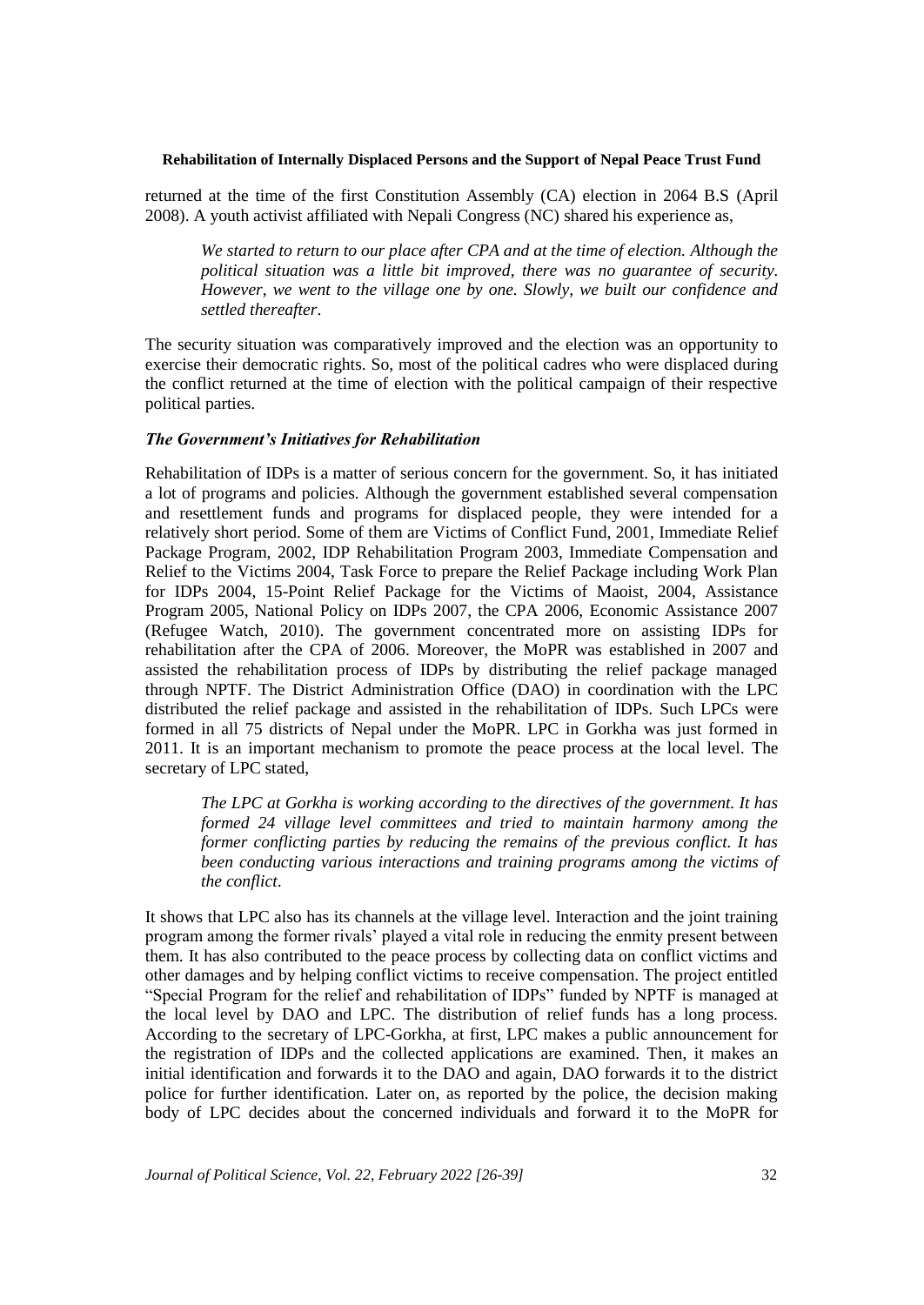returned at the time of the first Constitution Assembly (CA) election in 2064 B.S (April 2008). A youth activist affiliated with Nepali Congress (NC) shared his experience as,

*We started to return to our place after CPA and at the time of election. Although the political situation was a little bit improved, there was no guarantee of security. However, we went to the village one by one. Slowly, we built our confidence and settled thereafter*.

The security situation was comparatively improved and the election was an opportunity to exercise their democratic rights. So, most of the political cadres who were displaced during the conflict returned at the time of election with the political campaign of their respective political parties.

## *The Government's Initiatives for Rehabilitation*

Rehabilitation of IDPs is a matter of serious concern for the government. So, it has initiated a lot of programs and policies. Although the government established several compensation and resettlement funds and programs for displaced people, they were intended for a relatively short period. Some of them are Victims of Conflict Fund, 2001, Immediate Relief Package Program, 2002, IDP Rehabilitation Program 2003, Immediate Compensation and Relief to the Victims 2004, Task Force to prepare the Relief Package including Work Plan for IDPs 2004, 15-Point Relief Package for the Victims of Maoist, 2004, Assistance Program 2005, National Policy on IDPs 2007, the CPA 2006, Economic Assistance 2007 (Refugee Watch, 2010). The government concentrated more on assisting IDPs for rehabilitation after the CPA of 2006. Moreover, the MoPR was established in 2007 and assisted the rehabilitation process of IDPs by distributing the relief package managed through NPTF. The District Administration Office (DAO) in coordination with the LPC distributed the relief package and assisted in the rehabilitation of IDPs. Such LPCs were formed in all 75 districts of Nepal under the MoPR. LPC in Gorkha was just formed in 2011. It is an important mechanism to promote the peace process at the local level. The secretary of LPC stated,

*The LPC at Gorkha is working according to the directives of the government. It has formed 24 village level committees and tried to maintain harmony among the former conflicting parties by reducing the remains of the previous conflict. It has been conducting various interactions and training programs among the victims of the conflict*.

It shows that LPC also has its channels at the village level. Interaction and the joint training program among the former rivals' played a vital role in reducing the enmity present between them. It has also contributed to the peace process by collecting data on conflict victims and other damages and by helping conflict victims to receive compensation. The project entitled "Special Program for the relief and rehabilitation of IDPs" funded by NPTF is managed at the local level by DAO and LPC. The distribution of relief funds has a long process. According to the secretary of LPC-Gorkha, at first, LPC makes a public announcement for the registration of IDPs and the collected applications are examined. Then, it makes an initial identification and forwards it to the DAO and again, DAO forwards it to the district police for further identification. Later on, as reported by the police, the decision making body of LPC decides about the concerned individuals and forward it to the MoPR for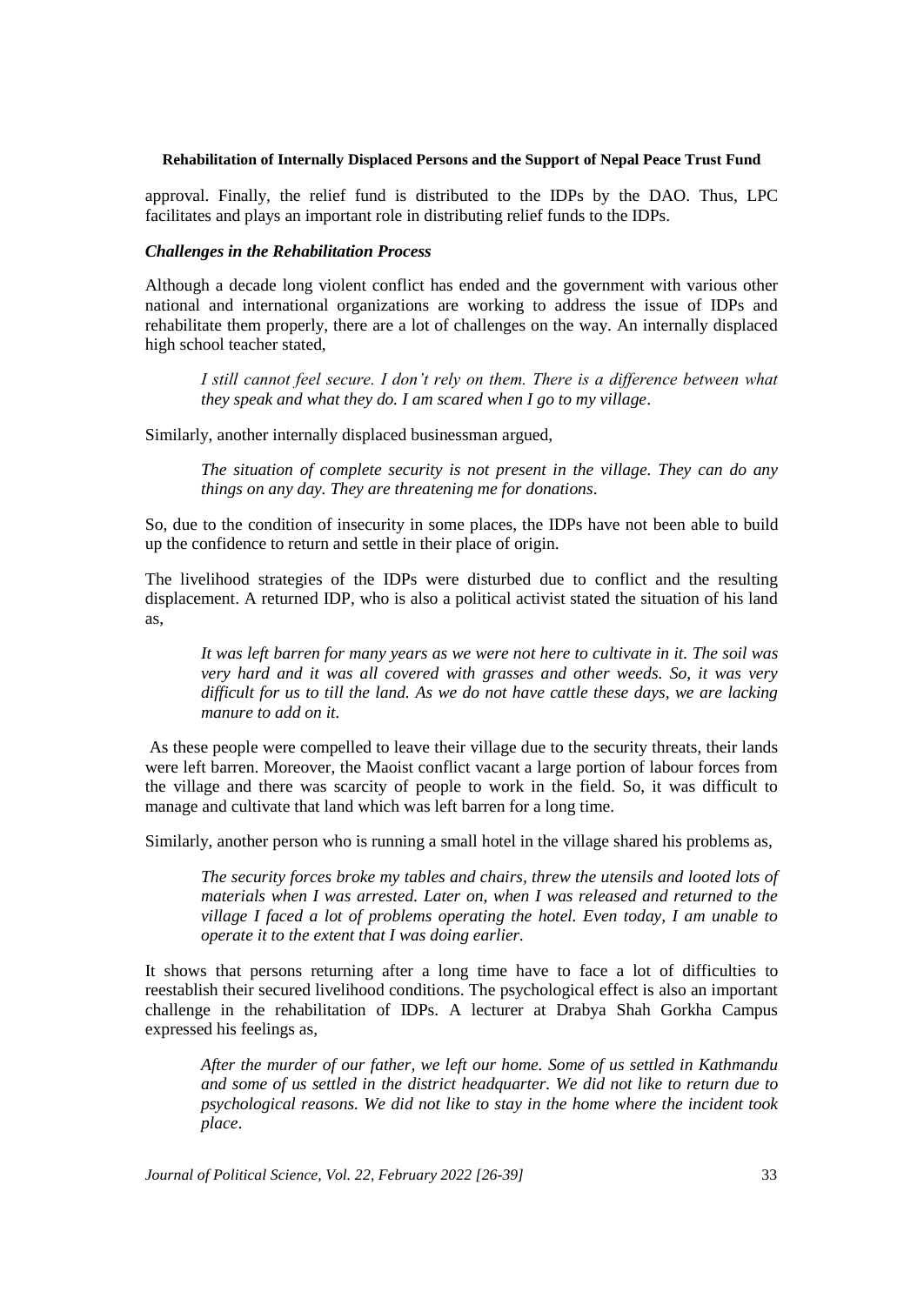approval. Finally, the relief fund is distributed to the IDPs by the DAO. Thus, LPC facilitates and plays an important role in distributing relief funds to the IDPs.

## *Challenges in the Rehabilitation Process*

Although a decade long violent conflict has ended and the government with various other national and international organizations are working to address the issue of IDPs and rehabilitate them properly, there are a lot of challenges on the way. An internally displaced high school teacher stated,

*I still cannot feel secure. I don't rely on them. There is a difference between what they speak and what they do. I am scared when I go to my village*.

Similarly, another internally displaced businessman argued,

*The situation of complete security is not present in the village. They can do any things on any day. They are threatening me for donations*.

So, due to the condition of insecurity in some places, the IDPs have not been able to build up the confidence to return and settle in their place of origin.

The livelihood strategies of the IDPs were disturbed due to conflict and the resulting displacement. A returned IDP, who is also a political activist stated the situation of his land as,

*It was left barren for many years as we were not here to cultivate in it. The soil was very hard and it was all covered with grasses and other weeds. So, it was very difficult for us to till the land. As we do not have cattle these days, we are lacking manure to add on it.*

As these people were compelled to leave their village due to the security threats, their lands were left barren. Moreover, the Maoist conflict vacant a large portion of labour forces from the village and there was scarcity of people to work in the field. So, it was difficult to manage and cultivate that land which was left barren for a long time.

Similarly, another person who is running a small hotel in the village shared his problems as,

*The security forces broke my tables and chairs, threw the utensils and looted lots of materials when I was arrested. Later on, when I was released and returned to the village I faced a lot of problems operating the hotel. Even today, I am unable to operate it to the extent that I was doing earlier.*

It shows that persons returning after a long time have to face a lot of difficulties to reestablish their secured livelihood conditions. The psychological effect is also an important challenge in the rehabilitation of IDPs. A lecturer at Drabya Shah Gorkha Campus expressed his feelings as,

*After the murder of our father, we left our home. Some of us settled in Kathmandu and some of us settled in the district headquarter. We did not like to return due to psychological reasons. We did not like to stay in the home where the incident took place*.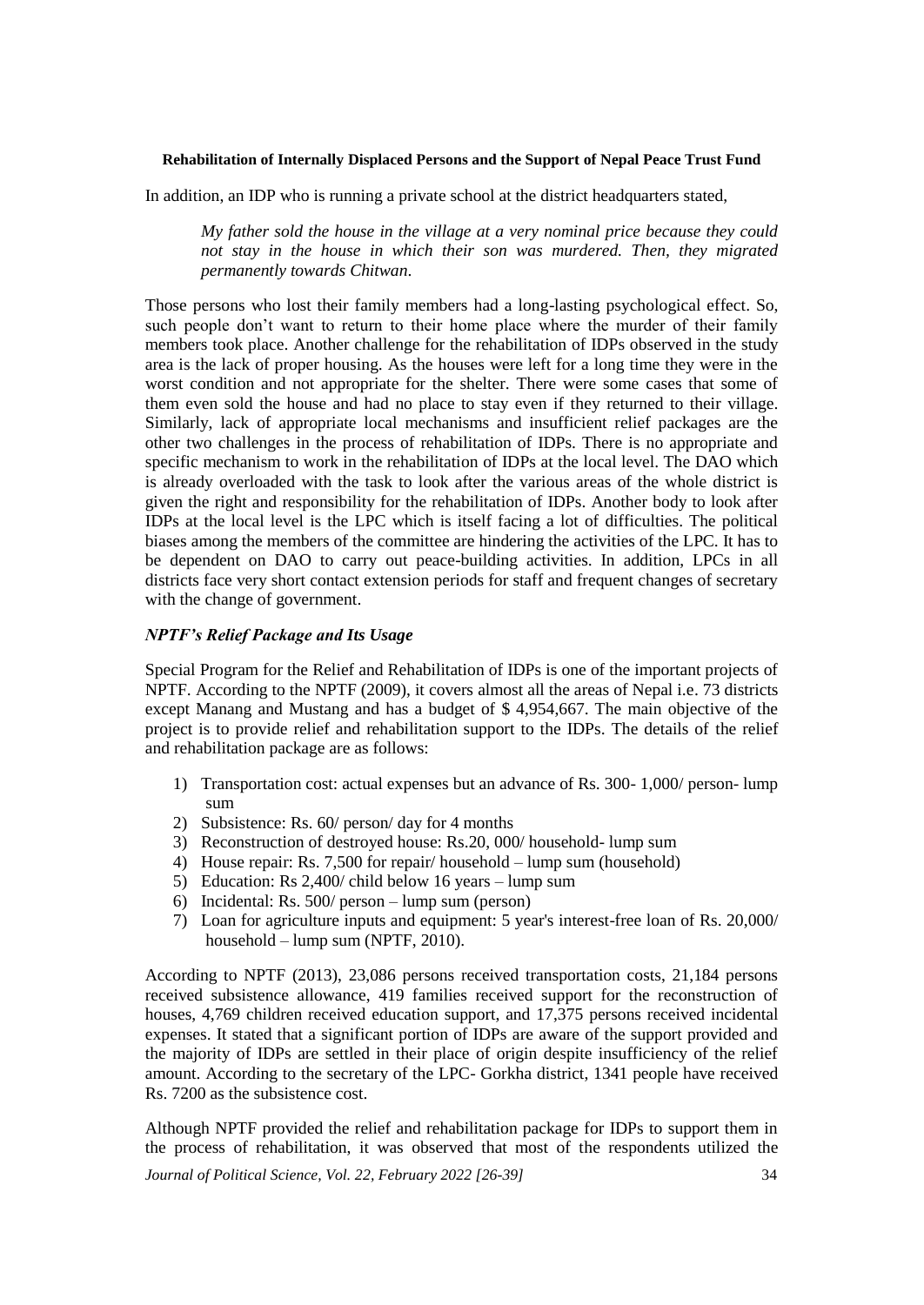In addition, an IDP who is running a private school at the district headquarters stated,

*My father sold the house in the village at a very nominal price because they could not stay in the house in which their son was murdered. Then, they migrated permanently towards Chitwan*.

Those persons who lost their family members had a long-lasting psychological effect. So, such people don't want to return to their home place where the murder of their family members took place. Another challenge for the rehabilitation of IDPs observed in the study area is the lack of proper housing. As the houses were left for a long time they were in the worst condition and not appropriate for the shelter. There were some cases that some of them even sold the house and had no place to stay even if they returned to their village. Similarly, lack of appropriate local mechanisms and insufficient relief packages are the other two challenges in the process of rehabilitation of IDPs. There is no appropriate and specific mechanism to work in the rehabilitation of IDPs at the local level. The DAO which is already overloaded with the task to look after the various areas of the whole district is given the right and responsibility for the rehabilitation of IDPs. Another body to look after IDPs at the local level is the LPC which is itself facing a lot of difficulties. The political biases among the members of the committee are hindering the activities of the LPC. It has to be dependent on DAO to carry out peace-building activities. In addition, LPCs in all districts face very short contact extension periods for staff and frequent changes of secretary with the change of government.

## *NPTF's Relief Package and Its Usage*

Special Program for the Relief and Rehabilitation of IDPs is one of the important projects of NPTF. According to the NPTF (2009), it covers almost all the areas of Nepal i.e. 73 districts except Manang and Mustang and has a budget of \$ 4,954,667. The main objective of the project is to provide relief and rehabilitation support to the IDPs. The details of the relief and rehabilitation package are as follows:

- 1) Transportation cost: actual expenses but an advance of Rs. 300- 1,000/ person- lump sum
- 2) Subsistence: Rs. 60/ person/ day for 4 months
- 3) Reconstruction of destroyed house: Rs.20, 000/ household- lump sum
- 4) House repair: Rs. 7,500 for repair/ household lump sum (household)
- 5) Education: Rs 2,400/ child below 16 years lump sum
- 6) Incidental: Rs. 500/ person lump sum (person)
- 7) Loan for agriculture inputs and equipment: 5 year's interest-free loan of Rs. 20,000/ household – lump sum (NPTF, 2010).

According to NPTF (2013), 23,086 persons received transportation costs, 21,184 persons received subsistence allowance, 419 families received support for the reconstruction of houses, 4,769 children received education support, and 17,375 persons received incidental expenses. It stated that a significant portion of IDPs are aware of the support provided and the majority of IDPs are settled in their place of origin despite insufficiency of the relief amount. According to the secretary of the LPC- Gorkha district, 1341 people have received Rs. 7200 as the subsistence cost.

Although NPTF provided the relief and rehabilitation package for IDPs to support them in the process of rehabilitation, it was observed that most of the respondents utilized the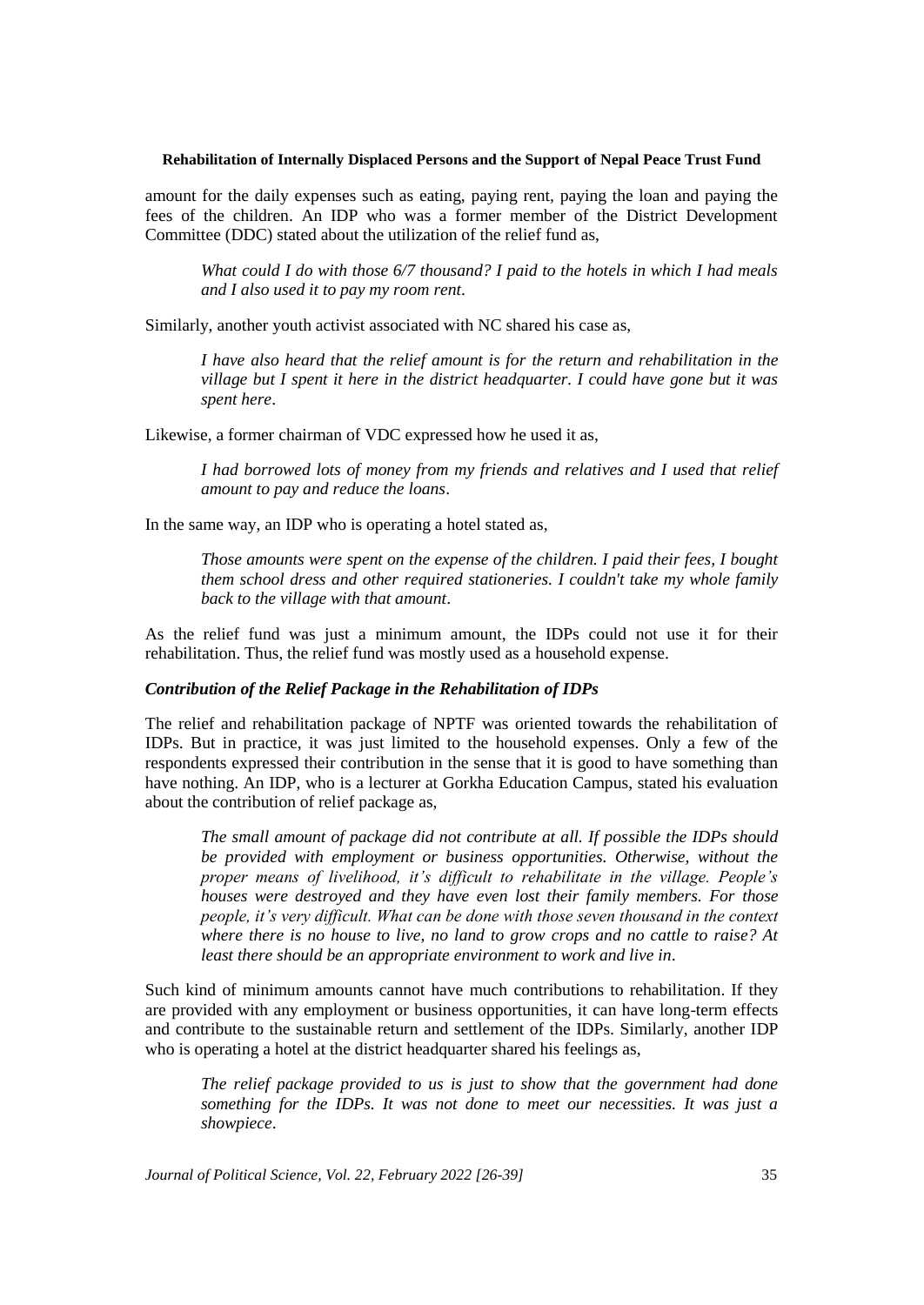amount for the daily expenses such as eating, paying rent, paying the loan and paying the fees of the children. An IDP who was a former member of the District Development Committee (DDC) stated about the utilization of the relief fund as,

*What could I do with those 6/7 thousand? I paid to the hotels in which I had meals and I also used it to pay my room rent*.

Similarly, another youth activist associated with NC shared his case as,

*I have also heard that the relief amount is for the return and rehabilitation in the village but I spent it here in the district headquarter. I could have gone but it was spent here*.

Likewise, a former chairman of VDC expressed how he used it as,

*I had borrowed lots of money from my friends and relatives and I used that relief amount to pay and reduce the loans*.

In the same way, an IDP who is operating a hotel stated as,

*Those amounts were spent on the expense of the children. I paid their fees, I bought them school dress and other required stationeries. I couldn't take my whole family back to the village with that amount*.

As the relief fund was just a minimum amount, the IDPs could not use it for their rehabilitation. Thus, the relief fund was mostly used as a household expense.

## *Contribution of the Relief Package in the Rehabilitation of IDPs*

The relief and rehabilitation package of NPTF was oriented towards the rehabilitation of IDPs. But in practice, it was just limited to the household expenses. Only a few of the respondents expressed their contribution in the sense that it is good to have something than have nothing. An IDP, who is a lecturer at Gorkha Education Campus, stated his evaluation about the contribution of relief package as,

*The small amount of package did not contribute at all. If possible the IDPs should be provided with employment or business opportunities. Otherwise, without the proper means of livelihood, it's difficult to rehabilitate in the village. People's houses were destroyed and they have even lost their family members. For those people, it's very difficult. What can be done with those seven thousand in the context where there is no house to live, no land to grow crops and no cattle to raise? At least there should be an appropriate environment to work and live in*.

Such kind of minimum amounts cannot have much contributions to rehabilitation. If they are provided with any employment or business opportunities, it can have long-term effects and contribute to the sustainable return and settlement of the IDPs. Similarly, another IDP who is operating a hotel at the district headquarter shared his feelings as,

*The relief package provided to us is just to show that the government had done something for the IDPs. It was not done to meet our necessities. It was just a showpiece*.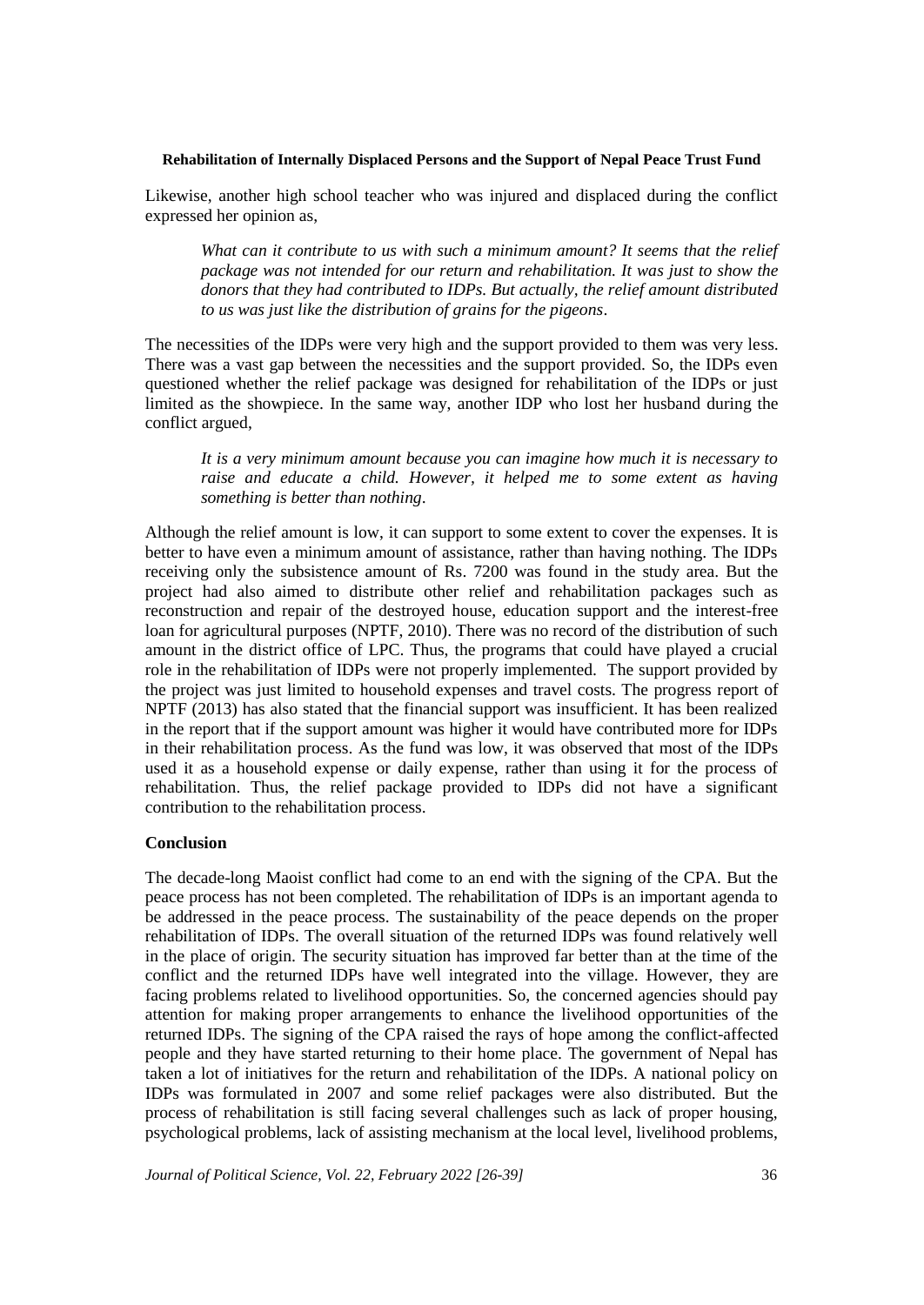Likewise, another high school teacher who was injured and displaced during the conflict expressed her opinion as,

*What can it contribute to us with such a minimum amount? It seems that the relief package was not intended for our return and rehabilitation. It was just to show the donors that they had contributed to IDPs. But actually, the relief amount distributed to us was just like the distribution of grains for the pigeons*.

The necessities of the IDPs were very high and the support provided to them was very less. There was a vast gap between the necessities and the support provided. So, the IDPs even questioned whether the relief package was designed for rehabilitation of the IDPs or just limited as the showpiece. In the same way, another IDP who lost her husband during the conflict argued,

*It is a very minimum amount because you can imagine how much it is necessary to raise and educate a child. However, it helped me to some extent as having something is better than nothing*.

Although the relief amount is low, it can support to some extent to cover the expenses. It is better to have even a minimum amount of assistance, rather than having nothing. The IDPs receiving only the subsistence amount of Rs. 7200 was found in the study area. But the project had also aimed to distribute other relief and rehabilitation packages such as reconstruction and repair of the destroyed house, education support and the interest-free loan for agricultural purposes (NPTF, 2010). There was no record of the distribution of such amount in the district office of LPC. Thus, the programs that could have played a crucial role in the rehabilitation of IDPs were not properly implemented. The support provided by the project was just limited to household expenses and travel costs. The progress report of NPTF (2013) has also stated that the financial support was insufficient. It has been realized in the report that if the support amount was higher it would have contributed more for IDPs in their rehabilitation process. As the fund was low, it was observed that most of the IDPs used it as a household expense or daily expense, rather than using it for the process of rehabilitation. Thus, the relief package provided to IDPs did not have a significant contribution to the rehabilitation process.

## **Conclusion**

The decade-long Maoist conflict had come to an end with the signing of the CPA. But the peace process has not been completed. The rehabilitation of IDPs is an important agenda to be addressed in the peace process. The sustainability of the peace depends on the proper rehabilitation of IDPs. The overall situation of the returned IDPs was found relatively well in the place of origin. The security situation has improved far better than at the time of the conflict and the returned IDPs have well integrated into the village. However, they are facing problems related to livelihood opportunities. So, the concerned agencies should pay attention for making proper arrangements to enhance the livelihood opportunities of the returned IDPs. The signing of the CPA raised the rays of hope among the conflict-affected people and they have started returning to their home place. The government of Nepal has taken a lot of initiatives for the return and rehabilitation of the IDPs. A national policy on IDPs was formulated in 2007 and some relief packages were also distributed. But the process of rehabilitation is still facing several challenges such as lack of proper housing, psychological problems, lack of assisting mechanism at the local level, livelihood problems,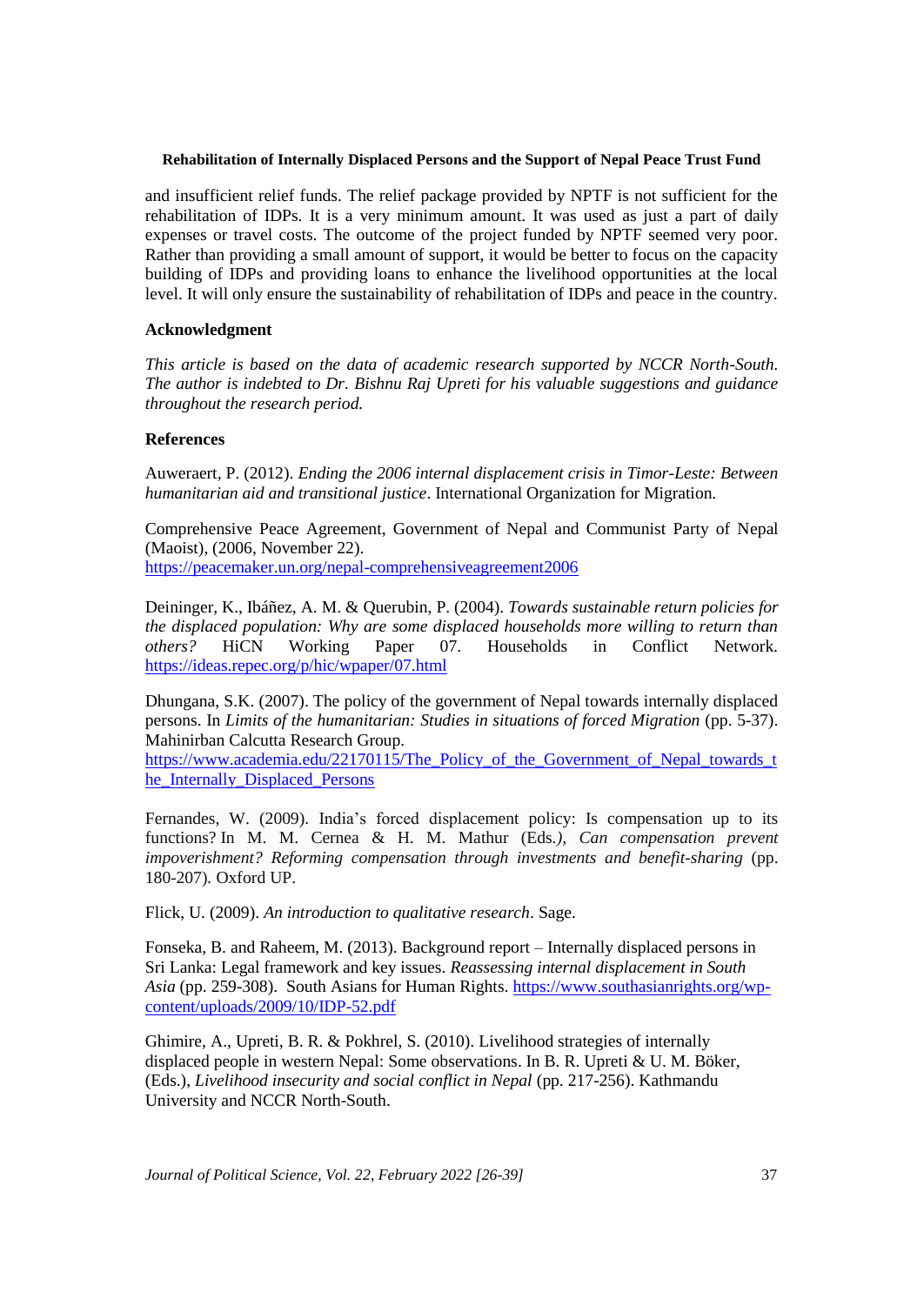and insufficient relief funds. The relief package provided by NPTF is not sufficient for the rehabilitation of IDPs. It is a very minimum amount. It was used as just a part of daily expenses or travel costs. The outcome of the project funded by NPTF seemed very poor. Rather than providing a small amount of support, it would be better to focus on the capacity building of IDPs and providing loans to enhance the livelihood opportunities at the local level. It will only ensure the sustainability of rehabilitation of IDPs and peace in the country.

## **Acknowledgment**

*This article is based on the data of academic research supported by NCCR North-South. The author is indebted to Dr. Bishnu Raj Upreti for his valuable suggestions and guidance throughout the research period.*

## **References**

Auweraert, P. (2012). *Ending the 2006 internal displacement crisis in Timor-Leste: Between humanitarian aid and transitional justice*. International Organization for Migration.

Comprehensive Peace Agreement, Government of Nepal and Communist Party of Nepal (Maoist), (2006, November 22). <https://peacemaker.un.org/nepal-comprehensiveagreement2006>

Deininger, K., Ibáñez, A. M. & Querubin, P. (2004). *Towards sustainable return policies for the displaced population: Why are some displaced households more willing to return than others?* HiCN Working Paper 07. Households in Conflict Network. <https://ideas.repec.org/p/hic/wpaper/07.html>

Dhungana, S.K. (2007). The policy of the government of Nepal towards internally displaced persons. In *Limits of the humanitarian: Studies in situations of forced Migration* (pp. 5-37). Mahinirban Calcutta Research Group.

https://www.academia.edu/22170115/The Policy of the Government of Nepal towards t [he\\_Internally\\_Displaced\\_Persons](https://www.academia.edu/22170115/The_Policy_of_the_Government_of_Nepal_towards_the_Internally_Displaced_Persons)

Fernandes, W. (2009). India's forced displacement policy: Is compensation up to its functions? In M. M. Cernea & H. M. Mathur (Eds*.), Can compensation prevent impoverishment? Reforming compensation through investments and benefit-sharing* (pp. 180-207)*.* Oxford UP.

Flick, U. (2009). *An introduction to qualitative research*. Sage.

Fonseka, B. and Raheem, M. (2013). Background report – Internally displaced persons in Sri Lanka: Legal framework and key issues. *Reassessing internal displacement in South Asia* (pp. 259-308). South Asians for Human Rights. [https://www.southasianrights.org/wp](https://www.southasianrights.org/wp-content/uploads/2009/10/IDP-52.pdf)[content/uploads/2009/10/IDP-52.pdf](https://www.southasianrights.org/wp-content/uploads/2009/10/IDP-52.pdf)

Ghimire, A., Upreti, B. R. & Pokhrel, S. (2010). Livelihood strategies of internally displaced people in western Nepal: Some observations. In B. R. Upreti & U. M. Böker, (Eds.), *Livelihood insecurity and social conflict in Nepal* (pp. 217-256). Kathmandu University and NCCR North-South.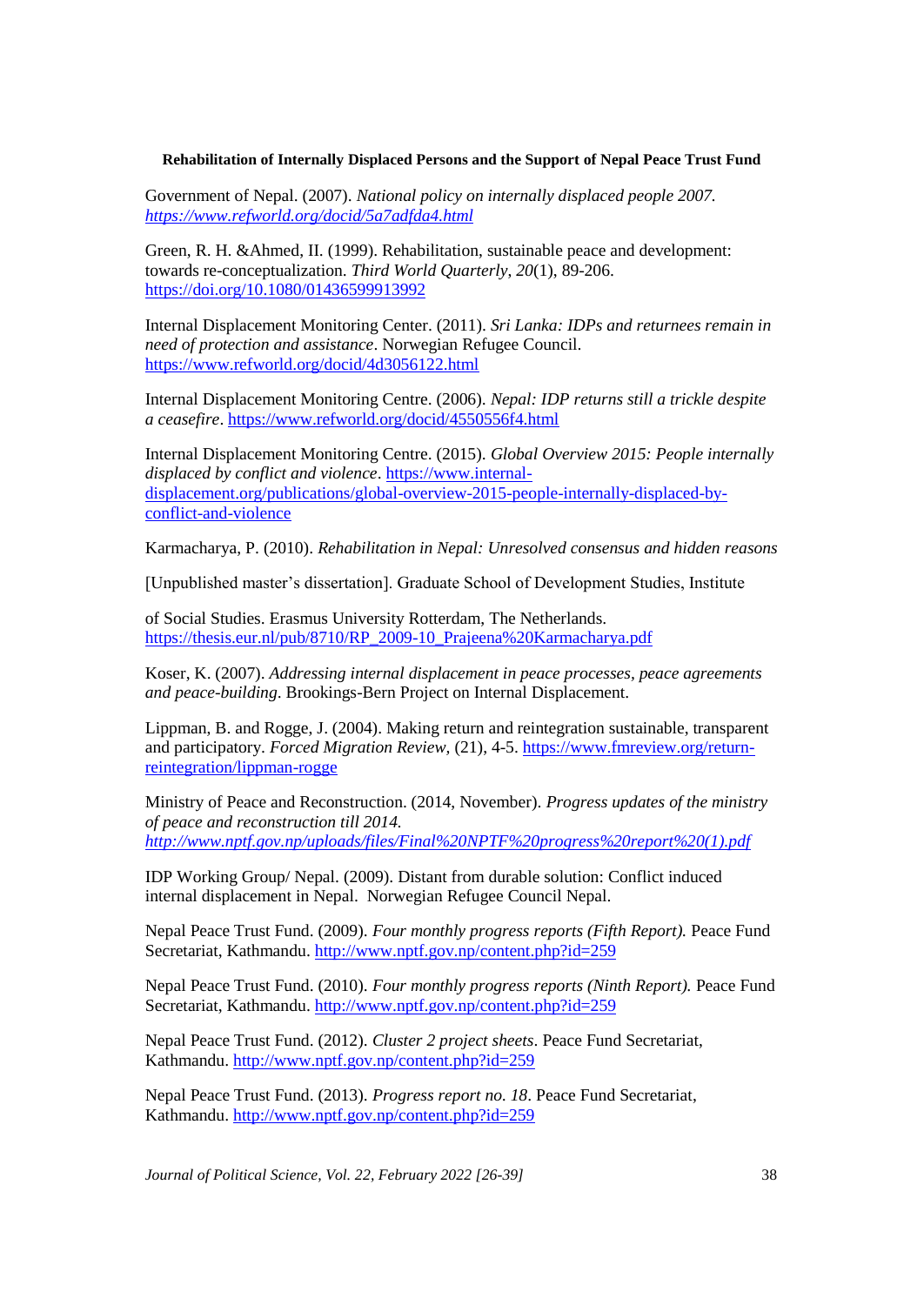Government of Nepal. (2007). *National policy on internally displaced people 2007. <https://www.refworld.org/docid/5a7adfda4.html>*

Green, R. H. &Ahmed, II. (1999). Rehabilitation, sustainable peace and development: towards re-conceptualization. *Third World Quarterly*, *20*(1), 89-206. <https://doi.org/10.1080/01436599913992>

Internal Displacement Monitoring Center. (2011). *Sri Lanka: IDPs and returnees remain in need of protection and assistance*. Norwegian Refugee Council. <https://www.refworld.org/docid/4d3056122.html>

Internal Displacement Monitoring Centre. (2006). *Nepal: IDP returns still a trickle despite a ceasefire*.<https://www.refworld.org/docid/4550556f4.html>

Internal Displacement Monitoring Centre. (2015). *Global Overview 2015: People internally displaced by conflict and violence*. [https://www.internal](https://www.internal-displacement.org/publications/global-overview-2015-people-internally-displaced-by-conflict-and-violence)[displacement.org/publications/global-overview-2015-people-internally-displaced-by](https://www.internal-displacement.org/publications/global-overview-2015-people-internally-displaced-by-conflict-and-violence)[conflict-and-violence](https://www.internal-displacement.org/publications/global-overview-2015-people-internally-displaced-by-conflict-and-violence)

Karmacharya, P. (2010). *Rehabilitation in Nepal: Unresolved consensus and hidden reasons*

[Unpublished master's dissertation]. Graduate School of Development Studies, Institute

of Social Studies. Erasmus University Rotterdam, The Netherlands. [https://thesis.eur.nl/pub/8710/RP\\_2009-10\\_Prajeena%20Karmacharya.pdf](https://thesis.eur.nl/pub/8710/RP_2009-10_Prajeena%20Karmacharya.pdf)

Koser, K. (2007). *Addressing internal displacement in peace processes, peace agreements and peace-building*. Brookings-Bern Project on Internal Displacement.

Lippman, B. and Rogge, J. (2004). Making return and reintegration sustainable, transparent and participatory. *Forced Migration Review,* (21), 4-5. [https://www.fmreview.org/return](https://www.fmreview.org/return-reintegration/lippman-rogge)[reintegration/lippman-rogge](https://www.fmreview.org/return-reintegration/lippman-rogge)

Ministry of Peace and Reconstruction. (2014, November). *Progress updates of the ministry of peace and reconstruction till 2014. [http://www.nptf.gov.np/uploads/files/Final%20NPTF%20progress%20report%20\(1\).pdf](http://www.nptf.gov.np/uploads/files/Final%20NPTF%20progress%20report%20(1).pdf)*

IDP Working Group/ Nepal. (2009). Distant from durable solution: Conflict induced internal displacement in Nepal. Norwegian Refugee Council Nepal.

Nepal Peace Trust Fund. (2009). *Four monthly progress reports (Fifth Report).* Peace Fund Secretariat, Kathmandu.<http://www.nptf.gov.np/content.php?id=259>

Nepal Peace Trust Fund. (2010). *Four monthly progress reports (Ninth Report).* Peace Fund Secretariat, Kathmandu.<http://www.nptf.gov.np/content.php?id=259>

Nepal Peace Trust Fund. (2012). *Cluster 2 project sheets*. Peace Fund Secretariat, Kathmandu.<http://www.nptf.gov.np/content.php?id=259>

Nepal Peace Trust Fund. (2013). *Progress report no. 18*. Peace Fund Secretariat, Kathmandu.<http://www.nptf.gov.np/content.php?id=259>